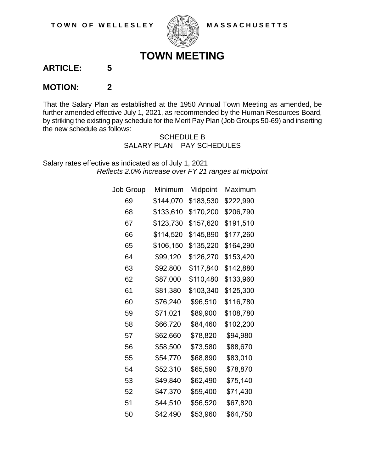

## **TOWN MEETING**

**ARTICLE: 5**

## **MOTION: 2**

That the Salary Plan as established at the 1950 Annual Town Meeting as amended, be further amended effective July 1, 2021, as recommended by the Human Resources Board, by striking the existing pay schedule for the Merit Pay Plan (Job Groups 50-69) and inserting the new schedule as follows:

> SCHEDULE B SALARY PLAN – PAY SCHEDULES

Salary rates effective as indicated as of July 1, 2021 *Reflects 2.0% increase over FY 21 ranges at midpoint*

| Job Group | Minimum   | Midpoint  | Maximum   |
|-----------|-----------|-----------|-----------|
| 69        | \$144,070 | \$183,530 | \$222,990 |
| 68        | \$133,610 | \$170,200 | \$206,790 |
| 67        | \$123,730 | \$157,620 | \$191,510 |
| 66        | \$114,520 | \$145,890 | \$177,260 |
| 65        | \$106,150 | \$135,220 | \$164,290 |
| 64        | \$99,120  | \$126,270 | \$153,420 |
| 63        | \$92,800  | \$117,840 | \$142,880 |
| 62        | \$87,000  | \$110,480 | \$133,960 |
| 61        | \$81,380  | \$103,340 | \$125,300 |
| 60        | \$76,240  | \$96,510  | \$116,780 |
| 59        | \$71,021  | \$89,900  | \$108,780 |
| 58        | \$66,720  | \$84,460  | \$102,200 |
| 57        | \$62,660  | \$78,820  | \$94,980  |
| 56        | \$58,500  | \$73,580  | \$88,670  |
| 55        | \$54,770  | \$68,890  | \$83,010  |
| 54        | \$52,310  | \$65,590  | \$78,870  |
| 53        | \$49,840  | \$62,490  | \$75,140  |
| 52        | \$47,370  | \$59,400  | \$71,430  |
| 51        | \$44,510  | \$56,520  | \$67,820  |
| 50        | \$42,490  | \$53,960  | \$64,750  |